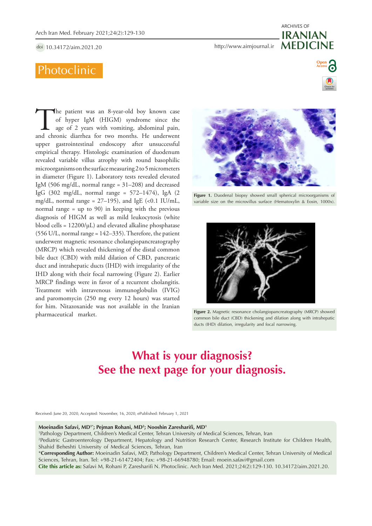doi [10.34172/aim.2021.20](https://doi.org/10.34172/aim.2021.20)

# Photoclinic

The patient was an 8-year-old boy known case of hyper IgM (HIGM) syndrome since the age of 2 years with vomiting, abdominal pain, and chronic diarrhea for two months. He underwent of hyper IgM (HIGM) syndrome since the age of 2 years with vomiting, abdominal pain, upper gastrointestinal endoscopy after unsuccessful empirical therapy. Histologic examination of duodenum revealed variable villus atrophy with round basophilic microorganisms on the surface measuring 2 to 5 micrometers in diameter (Figure 1). Laboratory tests revealed elevated IgM (506 mg/dL, normal range = 31–208) and decreased IgG (302 mg/dL, normal range = 572–1474), IgA (2 mg/dL, normal range =  $27-195$ ), and IgE (<0.1 IU/mL, normal range = up to 90) in keeping with the previous diagnosis of HIGM as well as mild leukocytosis (white blood cells =  $12200/\mu L$ ) and elevated alkaline phosphatase (556 U/L, normal range = 142–335). Therefore, the patient underwent magnetic resonance cholangiopancreatography (MRCP) which revealed thickening of the distal common bile duct (CBD) with mild dilation of CBD, pancreatic duct and intrahepatic ducts (IHD) with irregularity of the IHD along with their focal narrowing (Figure 2). Earlier MRCP findings were in favor of a recurrent cholangitis. Treatment with intravenous immunoglobulin (IVIG) and paromomycin (250 mg every 12 hours) was started for him. Nitazoxanide was not available in the Iranian pharmaceutical market.

**Figure 1.** Duodenal biopsy showed small spherical microorganisms of variable size on the microvillus surface (Hematoxylin & Eosin, 1000x).



**Figure 2.** Magnetic resonance cholangiopancreatography (MRCP) showed common bile duct (CBD) thickening and dilation along with intrahepatic ducts (IHD) dilation, irregularity and focal narrowing.

# **What is your diagnosis? See the next page for your diagnosis.**

Received: June 20, 2020, Accepted: November, 16, 2020, ePublished: February 1, 2021

#### **Moeinadin Safavi, MD1\*; Pejman Rohani, MD2 ; Nooshin Zaresharifi, MD1**

1 Pathology Department, Children's Medical Center, Tehran University of Medical Sciences, Tehran, Iran

2 Pediatric Gastroenterology Department, Hepatology and Nutrition Research Center, Research Institute for Children Health, Shahid Beheshti University of Medical Sciences, Tehran, Iran

\***Corresponding Author:** Moeinadin Safavi, MD; Pathology Department, Children's Medical Center, Tehran University of Medical Sciences, Tehran, Iran. Tel: +98-21-61472404; Fax: +98-21-66948780; Email: moein.safavi@gmail.com

**Cite this article as:** Safavi M, Rohani P, Zaresharifi N. Photoclinic. Arch Iran Med. 2021;24(2):129-130. 10.34172/aim.2021.20.

# http <http://www.aimjournal.ir> **MEDICINE** ARCHIVES OF **IRANIAN**

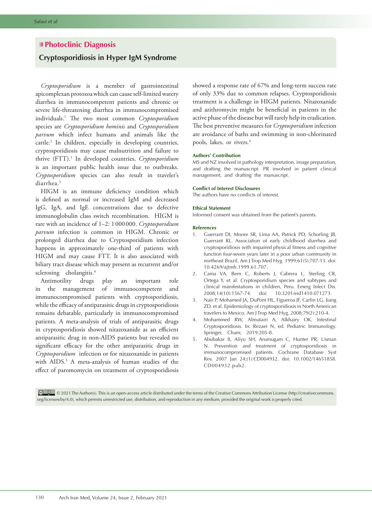# **Photoclinic Diagnosis**

# **Cryptosporidiosis in Hyper IgM Syndrome**

*Cryptosporidium* is a member of gastrointestinal apicomplexan protozoa which can cause self-limited watery diarrhea in immunocompetent patients and chronic or severe life-threatening diarrhea in immunocompromised individuals.1 The two most common *Cryptosporidium* species are *Cryptosporidium hominis* and *Cryptosporidium parvum* which infect humans and animals like the cattle.2 In children, especially in developing countries, cryptosporidiosis may cause malnutrition and failure to thrive (FTT).<sup>1</sup> In developed countries, *Cryptosporidium* is an important public health issue due to outbreaks. *Cryptosporidium* species can also result in traveler's diarrhea.3

HIGM is an immune deficiency condition which is defined as normal or increased IgM and decreased IgG, IgA, and IgE concentrations due to defective immunoglobulin class switch recombination. HIGM is rare with an incidence of 1–2: 1000000. *Cryptosporidium parvum* infection is common in HIGM. Chronic or prolonged diarrhea due to Cryptosporidium infection happens in approximately one-third of patients with HIGM and may cause FTT. It is also associated with biliary tract disease which may present as recurrent and/or sclerosing cholangitis.<sup>4</sup>

Antimotility drugs play an important role in the management of immunocompetent and immunocompromised patients with cryptosporidiosis, while the efficacy of antiparasitic drugs in cryptosporidiosis remains debatable, particularly in immunocompromised patients. A meta-analysis of trials of antiparasitic drugs in cryptosporidiosis showed nitazoxanide as an efficient antiparasitic drug in non-AIDS patients but revealed no significant efficacy for the other antiparasitic drugs in *Cryptosporidium* infection or for nitazoxanide in patients with AIDS.5 A meta-analysis of human studies of the effect of paromomycin on treatment of cryptosporidiosis

showed a response rate of 67% and long-term success rate of only 33% due to common relapses. Cryptosporidiosis treatment is a challenge in HIGM patients. Nitazoxanide and azithromycin might be beneficial in patients in the active phase of the disease but will rarely help its eradication. The best preventive measures for *Cryptosporidium* infection are avoidance of baths and swimming in non-chlorinated pools, lakes, or rivers.<sup>4</sup>

### **Authors' Contribution**

MS and NZ involved in pathology interpretation, image preparation, and drafting the manuscript. PR involved in patient clinical management, and drafting the manuscript.

## **Conflict of Interest Disclosures**

The authors have no conflicts of interest.

## **Ethical Statement**

Informed consent was obtained from the patient's parents.

#### **References**

- 1. Guerrant DI, Moore SR, Lima AA, Patrick PD, Schorling JB, Guerrant RL. Association of early childhood diarrhea and cryptosporidiosis with impaired physical fitness and cognitive function four-seven years later in a poor urban community in northeast Brazil. Am J Trop Med Hyg. 1999;61(5):707-13. doi: 10.4269/ajtmh.1999.61.707.
- 2. Cama VA, Bern C, Roberts J, Cabrera L, Sterling CR, Ortega Y, et al. Cryptosporidium species and subtypes and clinical manifestations in children, Peru. Emerg Infect Dis. 2008;14(10):1567-74. doi: 10.3201/eid1410.071273.
- 3. Nair P, Mohamed JA, DuPont HL, Figueroa JF, Carlin LG, Jiang ZD, et al. Epidemiology of cryptosporidiosis in North American travelers to Mexico. Am J Trop Med Hyg. 2008;79(2):210-4.
- 4. Mohammed RW, Almutairi A, Alkhairy OK. Intestinal Cryptosporidiosis. In: Rezaei N, ed. Pediatric Immunology. Springer, Cham; 2019:205-8.
- 5. Abubakar II, Aliyu SH, Arumugam C, Hunter PR, Usman N. Prevention and treatment of cryptosporidiosis in immunocompromised patients. Cochrane Database Syst Rev. 2007 Jan 24;(1):CD004932. doi: 10.1002/14651858. CD004932.pub2.

 © 2021 The Author(s). This is an open-access article distributed under the terms of the Creative Commons Attribution License (http://creativecommons. org/licenses/by/4.0), which permits unrestricted use, distribution, and reproduction in any medium, provided the original work is properly cited.